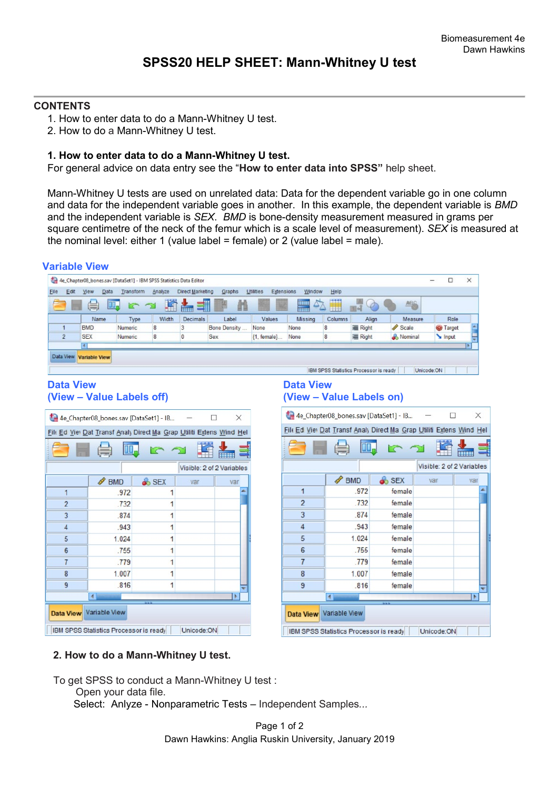## **CONTENTS**

- 1. How to enter data to do a Mann-Whitney U test.
- 2. How to do a Mann-Whitney U test.

## **1. How to enter data to do a Mann-Whitney U test.**

For general advice on data entry see the "**How to enter data into SPSS"** help sheet.

Mann-Whitney U tests are used on unrelated data: Data for the dependent variable go in one column and data for the independent variable goes in another. In this example, the dependent variable is *BMD*  and the independent variable is *SEX*. *BMD* is bone-density measurement measured in grams per square centimetre of the neck of the femur which is a scale level of measurement). *SEX* is measured at the nominal level: either 1 (value label = female) or 2 (value label = male).

|                               |                                         | 4e_Chapter08_bones.sav [DataSet1] - IBM SPSS Statistics Data Editor  |                  |                           |                         |                                              |                      |                                        |                  | □                                                                    | ×   |
|-------------------------------|-----------------------------------------|----------------------------------------------------------------------|------------------|---------------------------|-------------------------|----------------------------------------------|----------------------|----------------------------------------|------------------|----------------------------------------------------------------------|-----|
| Elle<br>Edit                  | Mew<br><b>Data</b>                      | Analyze<br>Transform                                                 | Direct Marketing | Graphs                    | Utilities<br>Extensions | Window                                       | Help                 |                                        |                  |                                                                      |     |
|                               | H.                                      |                                                                      | WH               |                           |                         | 88 B B<br><b>HIHI</b>                        |                      | 画                                      | <b>ABC</b>       |                                                                      |     |
|                               | Name                                    | Width<br>Type                                                        | Decimals         | Label                     | Values                  | Missing                                      | Columns              | Align                                  | Measure          | Role                                                                 |     |
| $\overline{1}$                | <b>BMD</b><br>Numeric                   | 8                                                                    | 3                | Bone Density              | None                    | None                                         | 8                    | 三 Right                                | Scale            | <b>Target</b>                                                        |     |
| $\overline{2}$                | <b>SEX</b><br>Numeric<br>$\blacksquare$ | 8                                                                    | 0                | Sex                       | {1, female}             | None                                         | 8                    | 三 Right                                | & Nominal        | Input                                                                |     |
| Data View<br><b>Data View</b> | <b>Variable View</b>                    |                                                                      |                  |                           |                         |                                              |                      | IBM SPSS Statistics Processor is ready |                  | Unicode:ON                                                           |     |
|                               | (View - Value Labels off)               |                                                                      |                  |                           |                         | <b>Data View</b><br>(View - Value Labels on) |                      |                                        |                  |                                                                      |     |
|                               |                                         | 4e_Chapter08_bones.sav [DataSet1] - IB                               |                  | П<br>×                    |                         | 4e_Chapter08_bones.sav [DataSet1] - IB       |                      |                                        |                  | □                                                                    |     |
|                               |                                         | File Ed Viel Dat Transf Analy Direct Ma Grap Utiliti Extens Wind Hel |                  |                           |                         |                                              |                      |                                        |                  | File Ed Viel Dat Transf Analy Direct Ma Grap Utiliti Extens Wind Hel |     |
|                               |                                         |                                                                      |                  |                           |                         |                                              |                      |                                        |                  |                                                                      |     |
|                               |                                         |                                                                      |                  | Visible: 2 of 2 Variables |                         |                                              |                      |                                        |                  | Visible: 2 of 2 Variables                                            |     |
|                               | <b>BMD</b>                              | <b>&amp;</b> SEX                                                     | var              | var                       |                         |                                              | BMD                  |                                        | <b>&amp;</b> SEX | var                                                                  | var |
| $\mathbf{1}$                  | .972                                    | 1                                                                    |                  |                           |                         | 1                                            |                      | .972                                   | female           |                                                                      |     |
| $\overline{c}$                | .732                                    | 1                                                                    |                  |                           |                         | $\overline{c}$                               |                      | .732                                   | female           |                                                                      |     |
| 3                             | 874                                     | 1                                                                    |                  |                           |                         | 3                                            |                      | .874                                   | female           |                                                                      |     |
| $\overline{4}$                | .943                                    | 1                                                                    |                  |                           |                         | 4                                            |                      | .943                                   | female           |                                                                      |     |
| 5                             | 1.024                                   | 1                                                                    |                  |                           |                         | 5                                            |                      | 1.024                                  | female           |                                                                      |     |
| 6                             | .755                                    | 1                                                                    |                  |                           |                         | 6                                            |                      | .755                                   | female           |                                                                      |     |
| $\overline{7}$                | .779                                    | 1                                                                    |                  |                           |                         | $\overline{7}$                               |                      | .779                                   | female           |                                                                      |     |
|                               |                                         |                                                                      |                  |                           |                         |                                              |                      |                                        |                  |                                                                      |     |
| 8                             | 1.007                                   | 1                                                                    |                  |                           |                         | 8                                            |                      | 1.007                                  | female           |                                                                      |     |
| 9                             | .816                                    | 1                                                                    |                  |                           |                         | 9                                            |                      | .816                                   | female           |                                                                      |     |
|                               | $\left  \cdot \right $                  |                                                                      |                  | ×                         |                         |                                              | $\blacktriangleleft$ |                                        |                  |                                                                      | ٠   |
| <b>Data View</b>              | Variable View                           |                                                                      |                  |                           |                         | <b>Data View</b>                             | Variable View        |                                        |                  |                                                                      |     |
|                               |                                         |                                                                      |                  |                           |                         |                                              |                      |                                        |                  |                                                                      |     |

## **2. How to do a Mann-Whitney U test.**

To get SPSS to conduct a Mann-Whitney U test :

Open your data file.

Select: Anlyze - Nonparametric Tests – Independent Samples*...*

Page 1 of 2 Dawn Hawkins: Anglia Ruskin University, January 2019